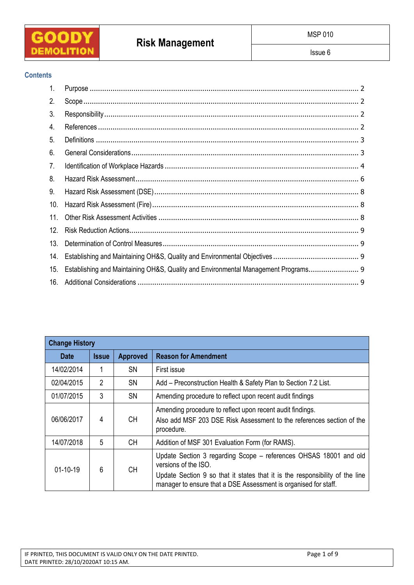

# **Risk Management**

# **Contents**

| $\mathbf{1}$ . |                                                                                    |
|----------------|------------------------------------------------------------------------------------|
| 2.             |                                                                                    |
| 3.             |                                                                                    |
| 4.             |                                                                                    |
| 5.             |                                                                                    |
| 6.             |                                                                                    |
| 7.             |                                                                                    |
| 8.             |                                                                                    |
| 9.             |                                                                                    |
| 10.            |                                                                                    |
| 11.            |                                                                                    |
| 12.            |                                                                                    |
| 13.            |                                                                                    |
| 14.            |                                                                                    |
| 15.            | Establishing and Maintaining OH&S, Quality and Environmental Management Programs 9 |
| 16.            |                                                                                    |

| <b>Change History</b> |                |                 |                                                                                                                                                                                                                                              |  |
|-----------------------|----------------|-----------------|----------------------------------------------------------------------------------------------------------------------------------------------------------------------------------------------------------------------------------------------|--|
| <b>Date</b>           | <b>Issue</b>   | <b>Approved</b> | <b>Reason for Amendment</b>                                                                                                                                                                                                                  |  |
| 14/02/2014            |                | <b>SN</b>       | First issue                                                                                                                                                                                                                                  |  |
| 02/04/2015            | $\overline{2}$ | SΝ              | Add – Preconstruction Health & Safety Plan to Section 7.2 List.                                                                                                                                                                              |  |
| 01/07/2015            | 3              | <b>SN</b>       | Amending procedure to reflect upon recent audit findings                                                                                                                                                                                     |  |
| 06/06/2017            | 4              | <b>CH</b>       | Amending procedure to reflect upon recent audit findings.<br>Also add MSF 203 DSE Risk Assessment to the references section of the<br>procedure.                                                                                             |  |
| 14/07/2018            | 5              | CН              | Addition of MSF 301 Evaluation Form (for RAMS).                                                                                                                                                                                              |  |
| $01 - 10 - 19$        | 6              | СH              | Update Section 3 regarding Scope - references OHSAS 18001 and old<br>versions of the ISO.<br>Update Section 9 so that it states that it is the responsibility of the line<br>manager to ensure that a DSE Assessment is organised for staff. |  |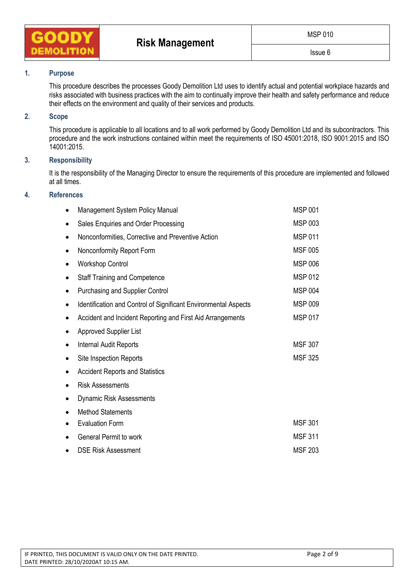

# **1. Purpose**

This procedure describes the processes Goody Demolition Ltd uses to identify actual and potential workplace hazards and risks associated with business practices with the aim to continually improve their health and safety performance and reduce their effects on the environment and quality of their services and products.

### **2. Scope**

This procedure is applicable to all locations and to all work performed by Goody Demolition Ltd and its subcontractors. This procedure and the work instructions contained within meet the requirements of ISO 45001:2018, ISO 9001:2015 and ISO 14001:2015.

#### **3. Responsibility**

It is the responsibility of the Managing Director to ensure the requirements of this procedure are implemented and followed at all times.

## **4. References**

|   | Management System Policy Manual                                 | <b>MSP 001</b> |
|---|-----------------------------------------------------------------|----------------|
|   | Sales Enquiries and Order Processing                            | <b>MSP 003</b> |
| ٠ | Nonconformities, Corrective and Preventive Action               | <b>MSP 011</b> |
| ٠ | Nonconformity Report Form                                       | <b>MSF 005</b> |
| ٠ | <b>Workshop Control</b>                                         | <b>MSP 006</b> |
|   | <b>Staff Training and Competence</b>                            | <b>MSP 012</b> |
|   | Purchasing and Supplier Control                                 | <b>MSP 004</b> |
|   | Identification and Control of Significant Environmental Aspects | MSP 009        |
|   | Accident and Incident Reporting and First Aid Arrangements      | <b>MSP 017</b> |
|   | <b>Approved Supplier List</b>                                   |                |
|   | Internal Audit Reports                                          | <b>MSF 307</b> |
|   | Site Inspection Reports                                         | <b>MSF 325</b> |
|   | <b>Accident Reports and Statistics</b>                          |                |
|   | <b>Risk Assessments</b>                                         |                |
|   | <b>Dynamic Risk Assessments</b>                                 |                |
|   | <b>Method Statements</b>                                        |                |
|   | <b>Evaluation Form</b>                                          | <b>MSF 301</b> |
|   | <b>General Permit to work</b>                                   | <b>MSF 311</b> |
|   | <b>DSE Risk Assessment</b>                                      | <b>MSF 203</b> |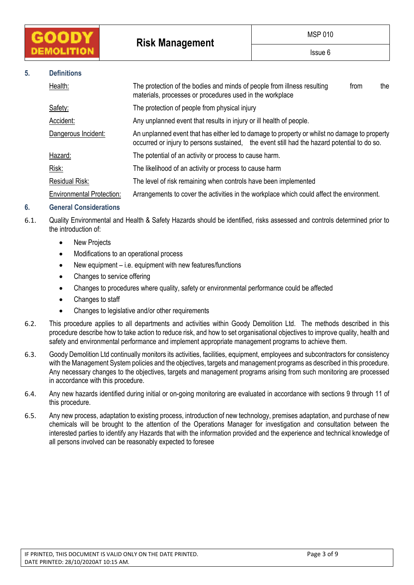**Risk Management** 

## **5. Definitions**

| Health:                                                                           | The protection of the bodies and minds of people from illness resulting<br>materials, processes or procedures used in the workplace                                                         | from | the |  |  |
|-----------------------------------------------------------------------------------|---------------------------------------------------------------------------------------------------------------------------------------------------------------------------------------------|------|-----|--|--|
| Safety:                                                                           | The protection of people from physical injury                                                                                                                                               |      |     |  |  |
| Accident:                                                                         | Any unplanned event that results in injury or ill health of people.                                                                                                                         |      |     |  |  |
| Dangerous Incident:                                                               | An unplanned event that has either led to damage to property or whilst no damage to property<br>occurred or injury to persons sustained, the event still had the hazard potential to do so. |      |     |  |  |
| Hazard:                                                                           | The potential of an activity or process to cause harm.                                                                                                                                      |      |     |  |  |
| Risk:                                                                             | The likelihood of an activity or process to cause harm                                                                                                                                      |      |     |  |  |
| Residual Risk:<br>The level of risk remaining when controls have been implemented |                                                                                                                                                                                             |      |     |  |  |
| Environmental Protection:                                                         | Arrangements to cover the activities in the workplace which could affect the environment.                                                                                                   |      |     |  |  |
|                                                                                   |                                                                                                                                                                                             |      |     |  |  |

# **6. General Considerations**

- 6.1. Quality Environmental and Health & Safety Hazards should be identified, risks assessed and controls determined prior to the introduction of:
	- New Projects
	- Modifications to an operational process
	- New equipment i.e. equipment with new features/functions
	- Changes to service offering
	- Changes to procedures where quality, safety or environmental performance could be affected
	- Changes to staff
	- Changes to legislative and/or other requirements
- 6.2. This procedure applies to all departments and activities within Goody Demolition Ltd. The methods described in this procedure describe how to take action to reduce risk, and how to set organisational objectives to improve quality, health and safety and environmental performance and implement appropriate management programs to achieve them.
- 6.3. Goody Demolition Ltd continually monitors its activities, facilities, equipment, employees and subcontractors for consistency with the Management System policies and the objectives, targets and management programs as described in this procedure. Any necessary changes to the objectives, targets and management programs arising from such monitoring are processed in accordance with this procedure.
- 6.4. Any new hazards identified during initial or on-going monitoring are evaluated in accordance with sections 9 through 11 of this procedure.
- 6.5. Any new process, adaptation to existing process, introduction of new technology, premises adaptation, and purchase of new chemicals will be brought to the attention of the Operations Manager for investigation and consultation between the interested parties to identify any Hazards that with the information provided and the experience and technical knowledge of all persons involved can be reasonably expected to foresee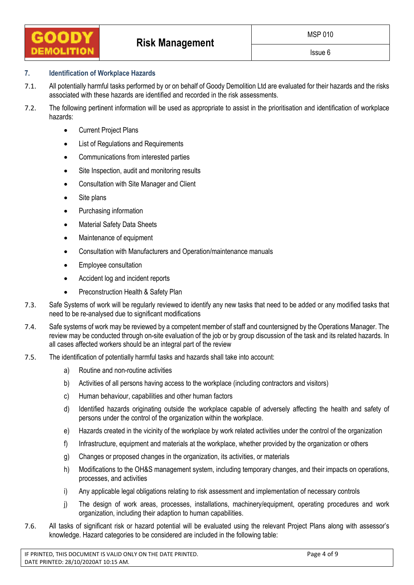# **7. Identification of Workplace Hazards**

- 7.1. All potentially harmful tasks performed by or on behalf of Goody Demolition Ltd are evaluated for their hazards and the risks associated with these hazards are identified and recorded in the risk assessments.
- 7.2. The following pertinent information will be used as appropriate to assist in the prioritisation and identification of workplace hazards:
	- Current Project Plans
	- List of Regulations and Requirements
	- Communications from interested parties
	- Site Inspection, audit and monitoring results
	- Consultation with Site Manager and Client
	- Site plans
	- Purchasing information
	- Material Safety Data Sheets
	- Maintenance of equipment
	- Consultation with Manufacturers and Operation/maintenance manuals
	- Employee consultation
	- Accident log and incident reports
	- Preconstruction Health & Safety Plan
- 7.3. Safe Systems of work will be regularly reviewed to identify any new tasks that need to be added or any modified tasks that need to be re-analysed due to significant modifications
- 7.4. Safe systems of work may be reviewed by a competent member of staff and countersigned by the Operations Manager. The review may be conducted through on-site evaluation of the job or by group discussion of the task and its related hazards. In all cases affected workers should be an integral part of the review
- 7.5. The identification of potentially harmful tasks and hazards shall take into account:
	- a) Routine and non-routine activities
	- b) Activities of all persons having access to the workplace (including contractors and visitors)
	- c) Human behaviour, capabilities and other human factors
	- d) Identified hazards originating outside the workplace capable of adversely affecting the health and safety of persons under the control of the organization within the workplace.
	- e) Hazards created in the vicinity of the workplace by work related activities under the control of the organization
	- f) Infrastructure, equipment and materials at the workplace, whether provided by the organization or others
	- g) Changes or proposed changes in the organization, its activities, or materials
	- h) Modifications to the OH&S management system, including temporary changes, and their impacts on operations, processes, and activities
	- i) Any applicable legal obligations relating to risk assessment and implementation of necessary controls
	- j) The design of work areas, processes, installations, machinery/equipment, operating procedures and work organization, including their adaption to human capabilities.
- 7.6. All tasks of significant risk or hazard potential will be evaluated using the relevant Project Plans along with assessor's knowledge. Hazard categories to be considered are included in the following table: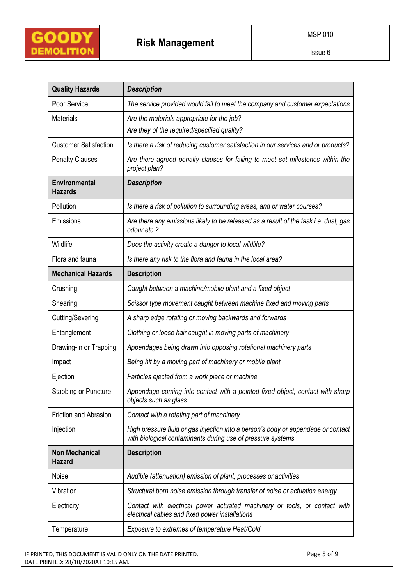

| <b>Quality Hazards</b>                                                                                                                       | <b>Description</b>                                                                                                                               |  |  |  |  |
|----------------------------------------------------------------------------------------------------------------------------------------------|--------------------------------------------------------------------------------------------------------------------------------------------------|--|--|--|--|
| Poor Service<br>The service provided would fail to meet the company and customer expectations                                                |                                                                                                                                                  |  |  |  |  |
| <b>Materials</b>                                                                                                                             | Are the materials appropriate for the job?                                                                                                       |  |  |  |  |
|                                                                                                                                              | Are they of the required/specified quality?                                                                                                      |  |  |  |  |
| <b>Customer Satisfaction</b>                                                                                                                 | Is there a risk of reducing customer satisfaction in our services and or products?                                                               |  |  |  |  |
| <b>Penalty Clauses</b><br>Are there agreed penalty clauses for failing to meet set milestones within the<br>project plan?                    |                                                                                                                                                  |  |  |  |  |
| <b>Environmental</b><br><b>Hazards</b>                                                                                                       | <b>Description</b>                                                                                                                               |  |  |  |  |
| Pollution                                                                                                                                    | Is there a risk of pollution to surrounding areas, and or water courses?                                                                         |  |  |  |  |
| Are there any emissions likely to be released as a result of the task i.e. dust, gas<br>Emissions<br>odour etc.?                             |                                                                                                                                                  |  |  |  |  |
| Wildlife                                                                                                                                     | Does the activity create a danger to local wildlife?                                                                                             |  |  |  |  |
| Flora and fauna                                                                                                                              | Is there any risk to the flora and fauna in the local area?                                                                                      |  |  |  |  |
| <b>Mechanical Hazards</b>                                                                                                                    | <b>Description</b>                                                                                                                               |  |  |  |  |
| Crushing                                                                                                                                     | Caught between a machine/mobile plant and a fixed object                                                                                         |  |  |  |  |
| Scissor type movement caught between machine fixed and moving parts<br>Shearing                                                              |                                                                                                                                                  |  |  |  |  |
| Cutting/Severing                                                                                                                             | A sharp edge rotating or moving backwards and forwards                                                                                           |  |  |  |  |
| Entanglement                                                                                                                                 | Clothing or loose hair caught in moving parts of machinery                                                                                       |  |  |  |  |
| Drawing-In or Trapping                                                                                                                       | Appendages being drawn into opposing rotational machinery parts                                                                                  |  |  |  |  |
| Impact                                                                                                                                       | Being hit by a moving part of machinery or mobile plant                                                                                          |  |  |  |  |
| Ejection                                                                                                                                     | Particles ejected from a work piece or machine                                                                                                   |  |  |  |  |
| Stabbing or Puncture                                                                                                                         | Appendage coming into contact with a pointed fixed object, contact with sharp<br>objects such as glass.                                          |  |  |  |  |
| Friction and Abrasion                                                                                                                        | Contact with a rotating part of machinery                                                                                                        |  |  |  |  |
| Injection                                                                                                                                    | High pressure fluid or gas injection into a person's body or appendage or contact<br>with biological contaminants during use of pressure systems |  |  |  |  |
| <b>Non Mechanical</b><br><b>Hazard</b>                                                                                                       | <b>Description</b>                                                                                                                               |  |  |  |  |
| Noise                                                                                                                                        | Audible (attenuation) emission of plant, processes or activities                                                                                 |  |  |  |  |
| Vibration                                                                                                                                    | Structural born noise emission through transfer of noise or actuation energy                                                                     |  |  |  |  |
| Contact with electrical power actuated machinery or tools, or contact with<br>Electricity<br>electrical cables and fixed power installations |                                                                                                                                                  |  |  |  |  |
| Temperature                                                                                                                                  | Exposure to extremes of temperature Heat/Cold                                                                                                    |  |  |  |  |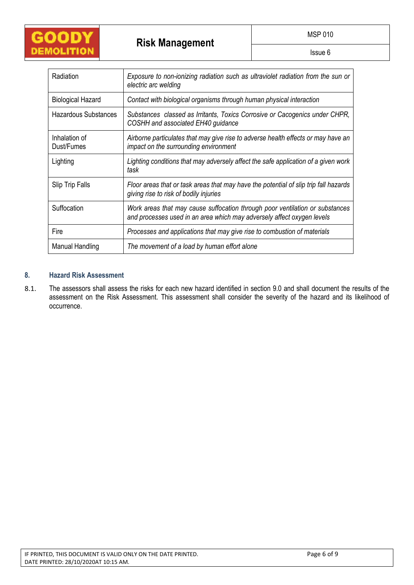

Issue 6

| Radiation                   | Exposure to non-ionizing radiation such as ultraviolet radiation from the sun or<br>electric arc welding                                               |  |  |  |
|-----------------------------|--------------------------------------------------------------------------------------------------------------------------------------------------------|--|--|--|
| <b>Biological Hazard</b>    | Contact with biological organisms through human physical interaction                                                                                   |  |  |  |
| Hazardous Substances        | Substances classed as Irritants, Toxics Corrosive or Cacogenics under CHPR,<br>COSHH and associated EH40 guidance                                      |  |  |  |
| Inhalation of<br>Dust/Fumes | Airborne particulates that may give rise to adverse health effects or may have an<br>impact on the surrounding environment                             |  |  |  |
| Lighting                    | Lighting conditions that may adversely affect the safe application of a given work<br>task                                                             |  |  |  |
| Slip Trip Falls             | Floor areas that or task areas that may have the potential of slip trip fall hazards<br>giving rise to risk of bodily injuries                         |  |  |  |
| Suffocation                 | Work areas that may cause suffocation through poor ventilation or substances<br>and processes used in an area which may adversely affect oxygen levels |  |  |  |
| Fire                        | Processes and applications that may give rise to combustion of materials                                                                               |  |  |  |
| <b>Manual Handling</b>      | The movement of a load by human effort alone                                                                                                           |  |  |  |

# **8. Hazard Risk Assessment**

8.1. The assessors shall assess the risks for each new hazard identified in section 9.0 and shall document the results of the assessment on the Risk Assessment. This assessment shall consider the severity of the hazard and its likelihood of occurrence.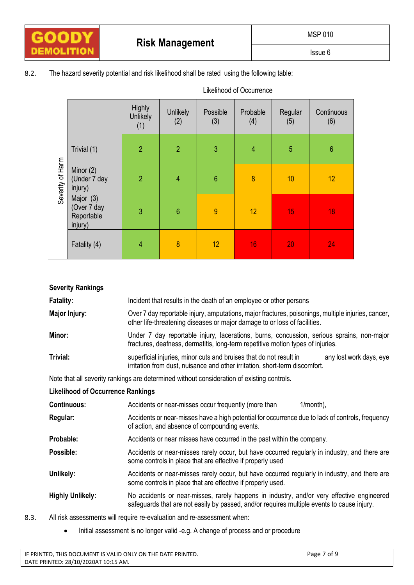Issue 6

8.2. The hazard severity potential and risk likelihood shall be rated using the following table:

| Severity of Harm |                                                   | Highly<br><b>Unlikely</b><br>(1) | <b>Unlikely</b><br>(2) | Possible<br>(3) | Probable<br>(4) | Regular<br>(5) | Continuous<br>(6) |
|------------------|---------------------------------------------------|----------------------------------|------------------------|-----------------|-----------------|----------------|-------------------|
|                  | Trivial (1)                                       | $\overline{2}$                   | $\overline{2}$         | 3               | $\overline{4}$  | 5              | $6\phantom{a}$    |
|                  | Minor $(2)$<br>(Under 7 day<br>injury)            | $\overline{2}$                   | $\overline{4}$         | $6\phantom{a}$  | 8               | 10             | 12                |
|                  | Major (3)<br>(Over 7 day<br>Reportable<br>injury) | 3                                | $6\phantom{1}6$        | $\overline{9}$  | 12              | 15             | 18                |
|                  | Fatality (4)                                      | $\overline{4}$                   | 8                      | 12              | 16              | 20             | 24                |

| <b>Severity Rankings</b>                 |                                                                                                                                                                                         |  |  |  |
|------------------------------------------|-----------------------------------------------------------------------------------------------------------------------------------------------------------------------------------------|--|--|--|
| <b>Fatality:</b>                         | Incident that results in the death of an employee or other persons                                                                                                                      |  |  |  |
| <b>Major Injury:</b>                     | Over 7 day reportable injury, amputations, major fractures, poisonings, multiple injuries, cancer,<br>other life-threatening diseases or major damage to or loss of facilities.         |  |  |  |
| Minor:                                   | Under 7 day reportable injury, lacerations, burns, concussion, serious sprains, non-major<br>fractures, deafness, dermatitis, long-term repetitive motion types of injuries.            |  |  |  |
| Trivial:                                 | superficial injuries, minor cuts and bruises that do not result in<br>any lost work days, eye<br>irritation from dust, nuisance and other irritation, short-term discomfort.            |  |  |  |
|                                          | Note that all severity rankings are determined without consideration of existing controls.                                                                                              |  |  |  |
| <b>Likelihood of Occurrence Rankings</b> |                                                                                                                                                                                         |  |  |  |
| <b>Continuous:</b>                       | Accidents or near-misses occur frequently (more than<br>$1/month)$ ,                                                                                                                    |  |  |  |
| Regular:                                 | Accidents or near-misses have a high potential for occurrence due to lack of controls, frequency<br>of action, and absence of compounding events.                                       |  |  |  |
| Probable:                                | Accidents or near misses have occurred in the past within the company.                                                                                                                  |  |  |  |
| Possible:                                | Accidents or near-misses rarely occur, but have occurred regularly in industry, and there are<br>some controls in place that are effective if properly used                             |  |  |  |
| Unlikely:                                | Accidents or near-misses rarely occur, but have occurred regularly in industry, and there are<br>some controls in place that are effective if properly used.                            |  |  |  |
| <b>Highly Unlikely:</b>                  | No accidents or near-misses, rarely happens in industry, and/or very effective engineered<br>safeguards that are not easily by passed, and/or requires multiple events to cause injury. |  |  |  |

Likelihood of Occurrence

- 8.3. All risk assessments will require re-evaluation and re-assessment when:
	- Initial assessment is no longer valid -e.g. A change of process and or procedure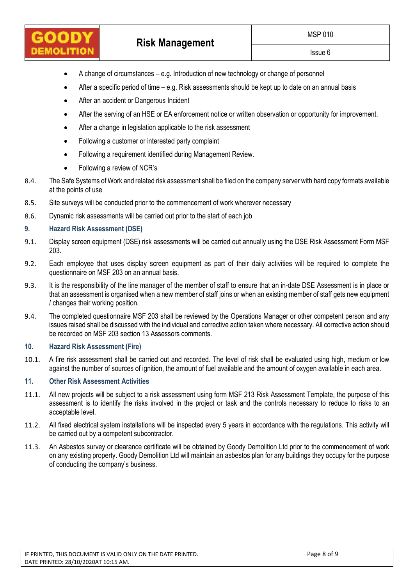- A change of circumstances e.g. Introduction of new technology or change of personnel
- After a specific period of time e.g. Risk assessments should be kept up to date on an annual basis
- After an accident or Dangerous Incident
- After the serving of an HSE or EA enforcement notice or written observation or opportunity for improvement.
- After a change in legislation applicable to the risk assessment
- Following a customer or interested party complaint
- Following a requirement identified during Management Review.
- Following a review of NCR's
- 8.4. The Safe Systems of Work and related risk assessment shall be filed on the company server with hard copy formats available at the points of use
- 8.5. Site surveys will be conducted prior to the commencement of work wherever necessary
- 8.6. Dynamic risk assessments will be carried out prior to the start of each job

### **9. Hazard Risk Assessment (DSE)**

- 9.1. Display screen equipment (DSE) risk assessments will be carried out annually using the DSE Risk Assessment Form MSF 203.
- 9.2. Each employee that uses display screen equipment as part of their daily activities will be required to complete the questionnaire on MSF 203 on an annual basis.
- 9.3. It is the responsibility of the line manager of the member of staff to ensure that an in-date DSE Assessment is in place or that an assessment is organised when a new member of staff joins or when an existing member of staff gets new equipment / changes their working position.
- 9.4. The completed questionnaire MSF 203 shall be reviewed by the Operations Manager or other competent person and any issues raised shall be discussed with the individual and corrective action taken where necessary. All corrective action should be recorded on MSF 203 section 13 Assessors comments.

## **10. Hazard Risk Assessment (Fire)**

10.1. A fire risk assessment shall be carried out and recorded. The level of risk shall be evaluated using high, medium or low against the number of sources of ignition, the amount of fuel available and the amount of oxygen available in each area.

### **11. Other Risk Assessment Activities**

- 11.1. All new projects will be subject to a risk assessment using form MSF 213 Risk Assessment Template, the purpose of this assessment is to identify the risks involved in the project or task and the controls necessary to reduce to risks to an acceptable level.
- 11.2. All fixed electrical system installations will be inspected every 5 years in accordance with the regulations. This activity will be carried out by a competent subcontractor.
- 11.3. An Asbestos survey or clearance certificate will be obtained by Goody Demolition Ltd prior to the commencement of work on any existing property. Goody Demolition Ltd will maintain an asbestos plan for any buildings they occupy for the purpose of conducting the company's business.